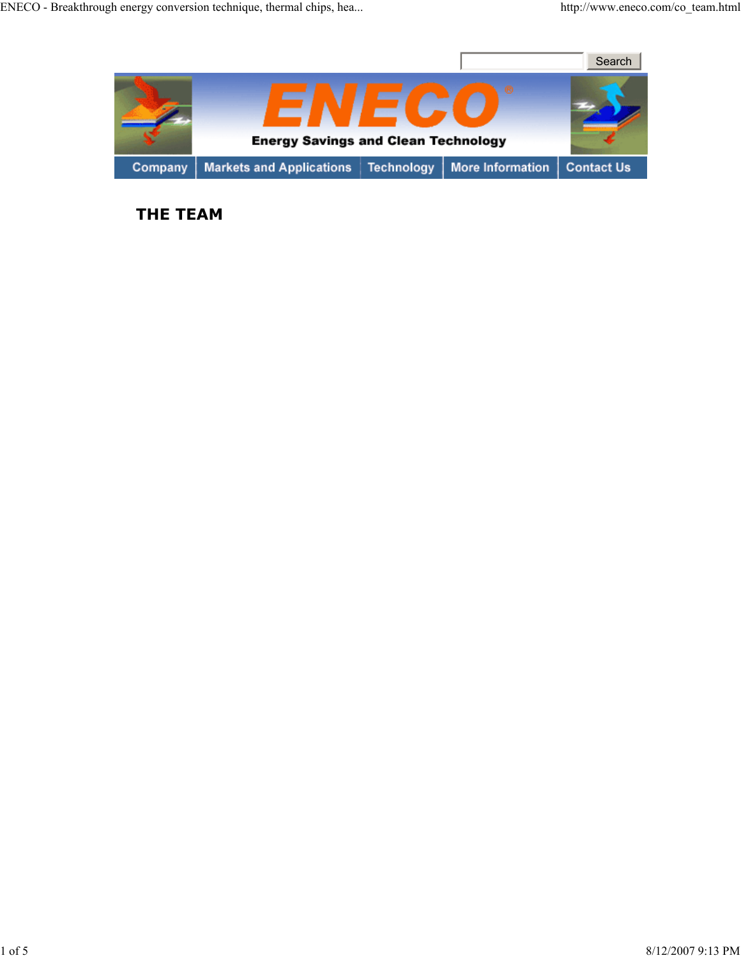

**THE TEAM**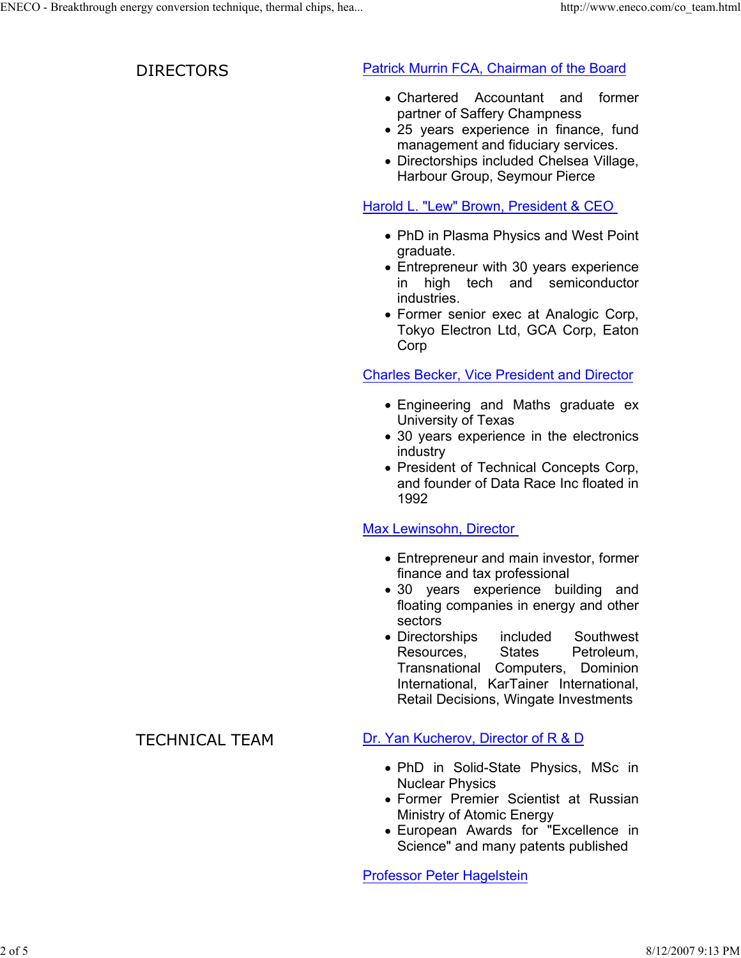## DIRECTORS **Patrick Murrin FCA, Chairman of the Board**

- Chartered Accountant and former partner of Saffery Champness
- 25 years experience in finance, fund management and fiduciary services.
- Directorships included Chelsea Village, Harbour Group, Seymour Pierce

## Harold L. "Lew" Brown, President & CEO

- PhD in Plasma Physics and West Point graduate.
- Entrepreneur with 30 years experience in high tech and semiconductor industries.
- Former senior exec at Analogic Corp, Tokyo Electron Ltd, GCA Corp, Eaton Corp

## Charles Becker, Vice President and Director

- Engineering and Maths graduate ex University of Texas
- 30 years experience in the electronics industry
- President of Technical Concepts Corp, and founder of Data Race Inc floated in 1992

# Max Lewinsohn, Director

- Entrepreneur and main investor, former finance and tax professional
- 30 years experience building and floating companies in energy and other sectors
- Directorships included Southwest Resources, States Petroleum, Transnational Computers, Dominion International, KarTainer International, Retail Decisions, Wingate Investments

# TECHNICAL TEAM Dr. Yan Kucherov, Director of R & D

- PhD in Solid-State Physics, MSc in Nuclear Physics
- Former Premier Scientist at Russian Ministry of Atomic Energy
- European Awards for "Excellence in Science" and many patents published

Professor Peter Hagelstein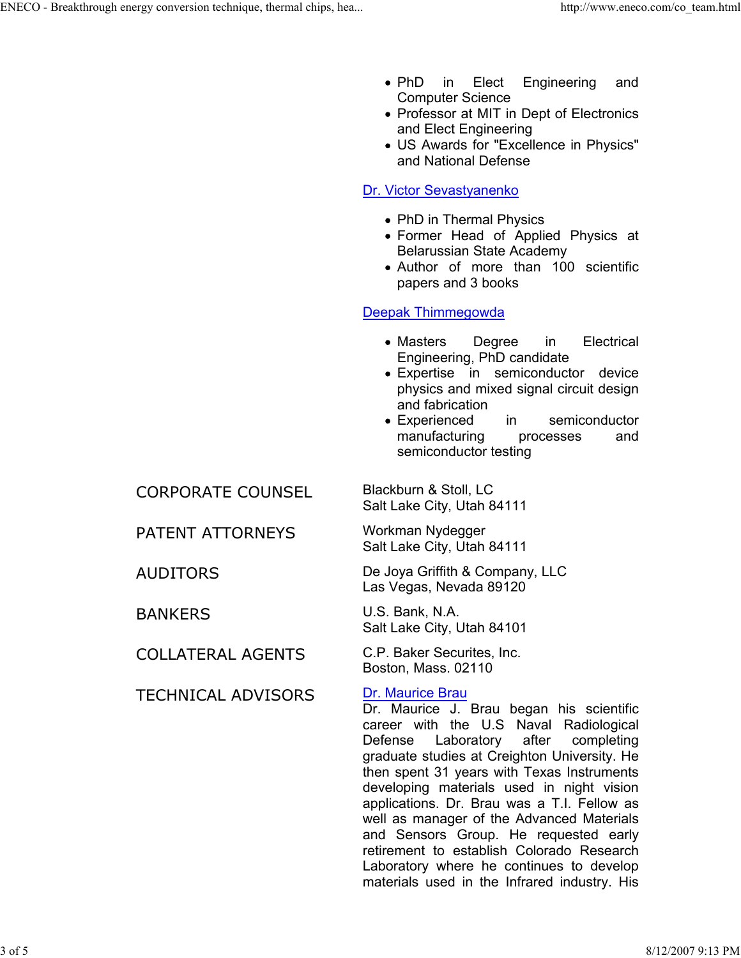- PhD in Elect Engineering and Computer Science
- Professor at MIT in Dept of Electronics and Elect Engineering
- US Awards for "Excellence in Physics" and National Defense

## Dr. Victor Sevastyanenko

- PhD in Thermal Physics
- Former Head of Applied Physics at Belarussian State Academy
- Author of more than 100 scientific papers and 3 books

### Deepak Thimmegowda

- Masters Degree in Electrical Engineering, PhD candidate
- Expertise in semiconductor device physics and mixed signal circuit design and fabrication
- Experienced in semiconductor manufacturing processes and semiconductor testing

Salt Lake City, Utah 84111

Salt Lake City, Utah 84111

AUDITORS De Joya Griffith & Company, LLC Las Vegas, Nevada 89120

BANKERS U.S. Bank, N.A. Salt Lake City, Utah 84101

Boston, Mass. 02110

Dr. Maurice J. Brau began his scientific career with the U.S Naval Radiological Defense Laboratory after completing graduate studies at Creighton University. He then spent 31 years with Texas Instruments developing materials used in night vision applications. Dr. Brau was a T.I. Fellow as well as manager of the Advanced Materials and Sensors Group. He requested early retirement to establish Colorado Research Laboratory where he continues to develop materials used in the Infrared industry. His

CORPORATE COUNSEL Blackburn & Stoll, LC

PATENT ATTORNEYS Workman Nydegger

COLLATERAL AGENTS C.P. Baker Securites, Inc.

TECHNICAL ADVISORS Dr. Maurice Brau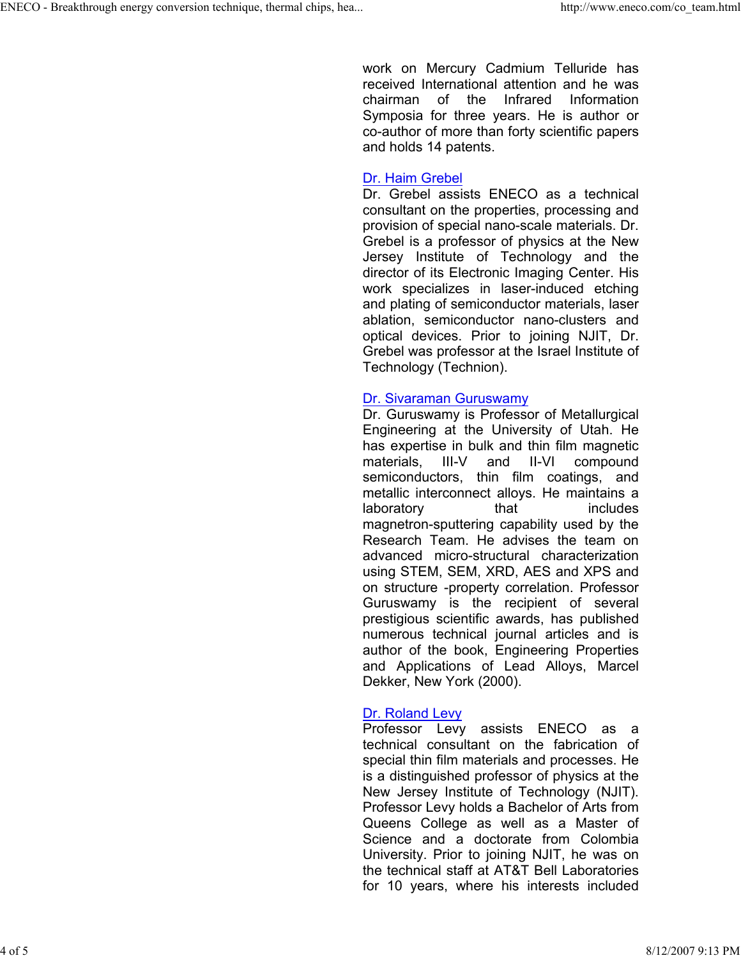work on Mercury Cadmium Telluride has received International attention and he was chairman of the Infrared Information Symposia for three years. He is author or co-author of more than forty scientific papers and holds 14 patents.

#### Dr. Haim Grebel

Dr. Grebel assists ENECO as a technical consultant on the properties, processing and provision of special nano-scale materials. Dr. Grebel is a professor of physics at the New Jersey Institute of Technology and the director of its Electronic Imaging Center. His work specializes in laser-induced etching and plating of semiconductor materials, laser ablation, semiconductor nano-clusters and optical devices. Prior to joining NJIT, Dr. Grebel was professor at the Israel Institute of Technology (Technion).

#### Dr. Sivaraman Guruswamy

Dr. Guruswamy is Professor of Metallurgical Engineering at the University of Utah. He has expertise in bulk and thin film magnetic materials, III-V and II-VI compound semiconductors, thin film coatings, and metallic interconnect alloys. He maintains a laboratory that includes magnetron-sputtering capability used by the Research Team. He advises the team on advanced micro-structural characterization using STEM, SEM, XRD, AES and XPS and on structure -property correlation. Professor Guruswamy is the recipient of several prestigious scientific awards, has published numerous technical journal articles and is author of the book, Engineering Properties and Applications of Lead Alloys, Marcel Dekker, New York (2000).

### Dr. Roland Levy

Professor Levy assists ENECO as a technical consultant on the fabrication of special thin film materials and processes. He is a distinguished professor of physics at the New Jersey Institute of Technology (NJIT). Professor Levy holds a Bachelor of Arts from Queens College as well as a Master of Science and a doctorate from Colombia University. Prior to joining NJIT, he was on the technical staff at AT&T Bell Laboratories for 10 years, where his interests included